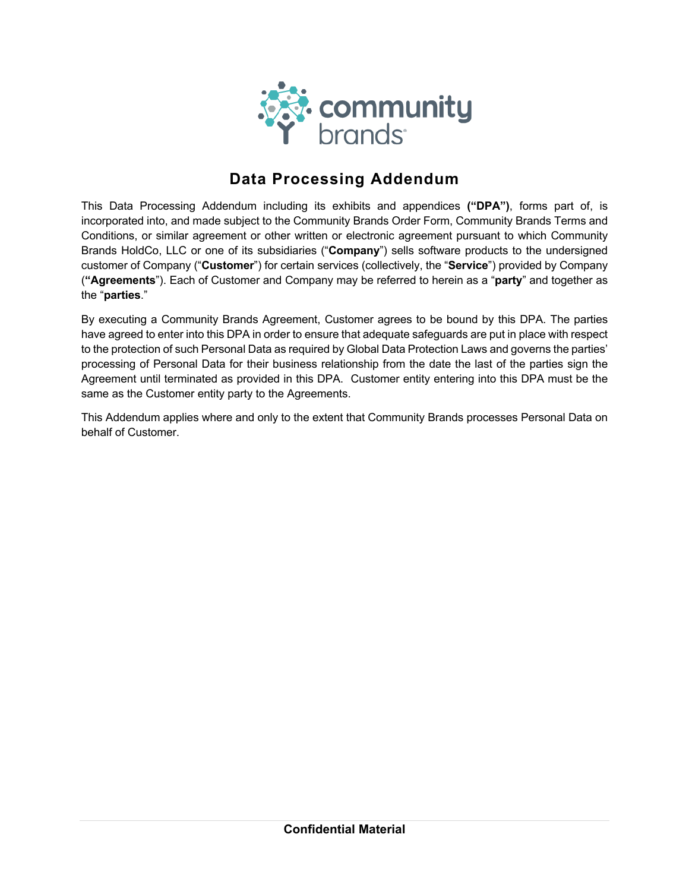

# **Data Processing Addendum**

This Data Processing Addendum including its exhibits and appendices **("DPA")**, forms part of, is incorporated into, and made subject to the Community Brands Order Form, Community Brands Terms and Conditions, or similar agreement or other written or electronic agreement pursuant to which Community Brands HoldCo, LLC or one of its subsidiaries ("**Company**") sells software products to the undersigned customer of Company ("**Customer**") for certain services (collectively, the "**Service**") provided by Company (**"Agreements**"). Each of Customer and Company may be referred to herein as a "**party**" and together as the "**parties**."

By executing a Community Brands Agreement, Customer agrees to be bound by this DPA. The parties have agreed to enter into this DPA in order to ensure that adequate safeguards are put in place with respect to the protection of such Personal Data as required by Global Data Protection Laws and governs the parties' processing of Personal Data for their business relationship from the date the last of the parties sign the Agreement until terminated as provided in this DPA. Customer entity entering into this DPA must be the same as the Customer entity party to the Agreements.

This Addendum applies where and only to the extent that Community Brands processes Personal Data on behalf of Customer.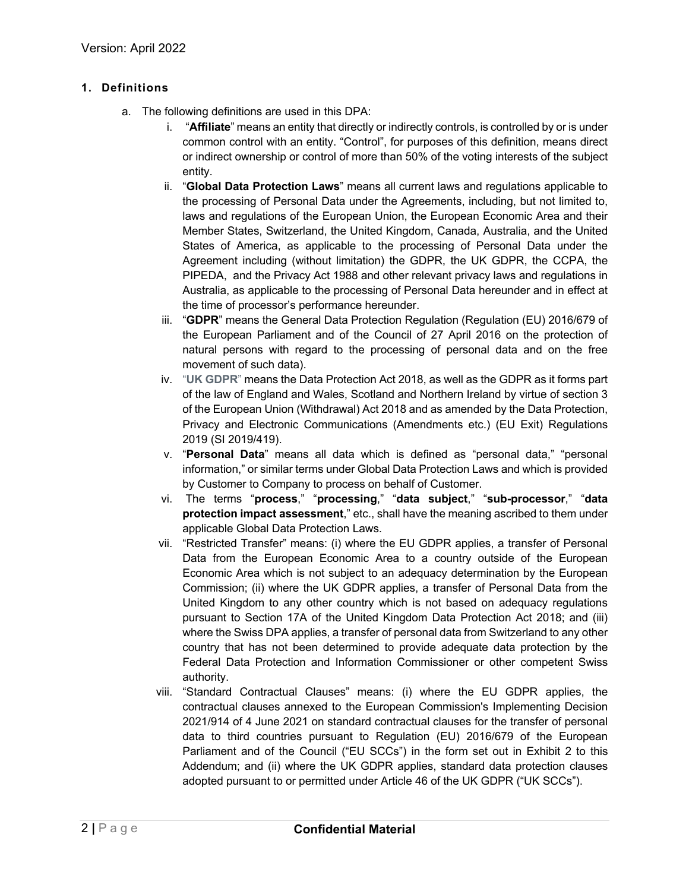# **1. Definitions**

- a. The following definitions are used in this DPA:
	- i. "**Affiliate**" means an entity that directly or indirectly controls, is controlled by or is under common control with an entity. "Control", for purposes of this definition, means direct or indirect ownership or control of more than 50% of the voting interests of the subject entity.
	- ii. "**Global Data Protection Laws**" means all current laws and regulations applicable to the processing of Personal Data under the Agreements, including, but not limited to, laws and regulations of the European Union, the European Economic Area and their Member States, Switzerland, the United Kingdom, Canada, Australia, and the United States of America, as applicable to the processing of Personal Data under the Agreement including (without limitation) the GDPR, the UK GDPR, the CCPA, the PIPEDA, and the Privacy Act 1988 and other relevant privacy laws and regulations in Australia, as applicable to the processing of Personal Data hereunder and in effect at the time of processor's performance hereunder.
	- iii. "**GDPR**" means the General Data Protection Regulation (Regulation (EU) 2016/679 of the European Parliament and of the Council of 27 April 2016 on the protection of natural persons with regard to the processing of personal data and on the free movement of such data).
	- iv. "**UK GDPR**" means the Data Protection Act 2018, as well as the GDPR as it forms part of the law of England and Wales, Scotland and Northern Ireland by virtue of section 3 of the European Union (Withdrawal) Act 2018 and as amended by the Data Protection, Privacy and Electronic Communications (Amendments etc.) (EU Exit) Regulations 2019 (SI 2019/419).
	- v. "**Personal Data**" means all data which is defined as "personal data," "personal information," or similar terms under Global Data Protection Laws and which is provided by Customer to Company to process on behalf of Customer.
	- vi. The terms "**process**," "**processing**," "**data subject**," "**sub-processor**," "**data protection impact assessment**," etc., shall have the meaning ascribed to them under applicable Global Data Protection Laws.
	- vii. "Restricted Transfer" means: (i) where the EU GDPR applies, a transfer of Personal Data from the European Economic Area to a country outside of the European Economic Area which is not subject to an adequacy determination by the European Commission; (ii) where the UK GDPR applies, a transfer of Personal Data from the United Kingdom to any other country which is not based on adequacy regulations pursuant to Section 17A of the United Kingdom Data Protection Act 2018; and (iii) where the Swiss DPA applies, a transfer of personal data from Switzerland to any other country that has not been determined to provide adequate data protection by the Federal Data Protection and Information Commissioner or other competent Swiss authority.
	- viii. "Standard Contractual Clauses" means: (i) where the EU GDPR applies, the contractual clauses annexed to the European Commission's Implementing Decision 2021/914 of 4 June 2021 on standard contractual clauses for the transfer of personal data to third countries pursuant to Regulation (EU) 2016/679 of the European Parliament and of the Council ("EU SCCs") in the form set out in Exhibit 2 to this Addendum; and (ii) where the UK GDPR applies, standard data protection clauses adopted pursuant to or permitted under Article 46 of the UK GDPR ("UK SCCs").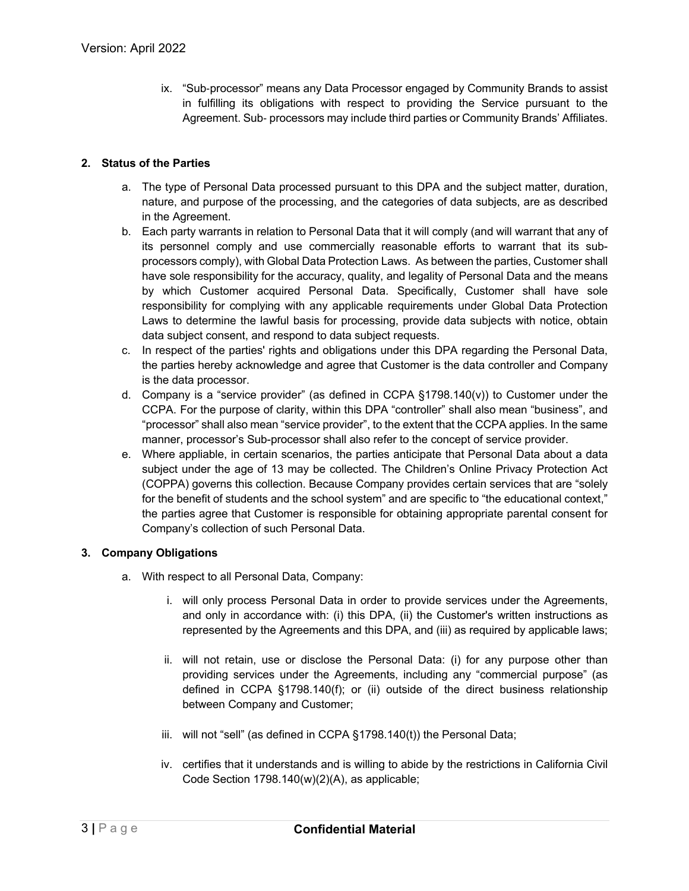ix. "Sub-processor" means any Data Processor engaged by Community Brands to assist in fulfilling its obligations with respect to providing the Service pursuant to the Agreement. Sub- processors may include third parties or Community Brands' Affiliates.

### **2. Status of the Parties**

- a. The type of Personal Data processed pursuant to this DPA and the subject matter, duration, nature, and purpose of the processing, and the categories of data subjects, are as described in the Agreement.
- b. Each party warrants in relation to Personal Data that it will comply (and will warrant that any of its personnel comply and use commercially reasonable efforts to warrant that its subprocessors comply), with Global Data Protection Laws. As between the parties, Customer shall have sole responsibility for the accuracy, quality, and legality of Personal Data and the means by which Customer acquired Personal Data. Specifically, Customer shall have sole responsibility for complying with any applicable requirements under Global Data Protection Laws to determine the lawful basis for processing, provide data subjects with notice, obtain data subject consent, and respond to data subject requests.
- c. In respect of the parties' rights and obligations under this DPA regarding the Personal Data, the parties hereby acknowledge and agree that Customer is the data controller and Company is the data processor.
- d. Company is a "service provider" (as defined in CCPA  $\S 1798.140(v)$ ) to Customer under the CCPA. For the purpose of clarity, within this DPA "controller" shall also mean "business", and "processor" shall also mean "service provider", to the extent that the CCPA applies. In the same manner, processor's Sub-processor shall also refer to the concept of service provider.
- e. Where appliable, in certain scenarios, the parties anticipate that Personal Data about a data subject under the age of 13 may be collected. The Children's Online Privacy Protection Act (COPPA) governs this collection. Because Company provides certain services that are "solely for the benefit of students and the school system" and are specific to "the educational context," the parties agree that Customer is responsible for obtaining appropriate parental consent for Company's collection of such Personal Data.

#### **3. Company Obligations**

- a. With respect to all Personal Data, Company:
	- i. will only process Personal Data in order to provide services under the Agreements, and only in accordance with: (i) this DPA, (ii) the Customer's written instructions as represented by the Agreements and this DPA, and (iii) as required by applicable laws;
	- ii. will not retain, use or disclose the Personal Data: (i) for any purpose other than providing services under the Agreements, including any "commercial purpose" (as defined in CCPA §1798.140(f); or (ii) outside of the direct business relationship between Company and Customer;
	- iii. will not "sell" (as defined in CCPA §1798.140(t)) the Personal Data;
	- iv. certifies that it understands and is willing to abide by the restrictions in California Civil Code Section 1798.140(w)(2)(A), as applicable;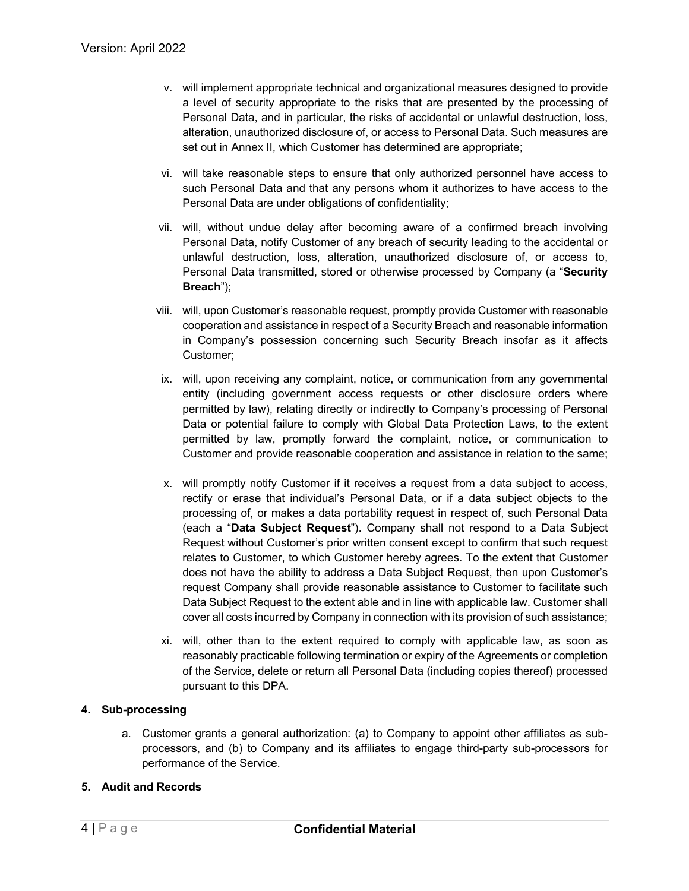- v. will implement appropriate technical and organizational measures designed to provide a level of security appropriate to the risks that are presented by the processing of Personal Data, and in particular, the risks of accidental or unlawful destruction, loss, alteration, unauthorized disclosure of, or access to Personal Data. Such measures are set out in Annex II, which Customer has determined are appropriate;
- vi. will take reasonable steps to ensure that only authorized personnel have access to such Personal Data and that any persons whom it authorizes to have access to the Personal Data are under obligations of confidentiality;
- vii. will, without undue delay after becoming aware of a confirmed breach involving Personal Data, notify Customer of any breach of security leading to the accidental or unlawful destruction, loss, alteration, unauthorized disclosure of, or access to, Personal Data transmitted, stored or otherwise processed by Company (a "**Security Breach**");
- viii. will, upon Customer's reasonable request, promptly provide Customer with reasonable cooperation and assistance in respect of a Security Breach and reasonable information in Company's possession concerning such Security Breach insofar as it affects Customer;
- ix. will, upon receiving any complaint, notice, or communication from any governmental entity (including government access requests or other disclosure orders where permitted by law), relating directly or indirectly to Company's processing of Personal Data or potential failure to comply with Global Data Protection Laws, to the extent permitted by law, promptly forward the complaint, notice, or communication to Customer and provide reasonable cooperation and assistance in relation to the same;
- x. will promptly notify Customer if it receives a request from a data subject to access, rectify or erase that individual's Personal Data, or if a data subject objects to the processing of, or makes a data portability request in respect of, such Personal Data (each a "**Data Subject Request**"). Company shall not respond to a Data Subject Request without Customer's prior written consent except to confirm that such request relates to Customer, to which Customer hereby agrees. To the extent that Customer does not have the ability to address a Data Subject Request, then upon Customer's request Company shall provide reasonable assistance to Customer to facilitate such Data Subject Request to the extent able and in line with applicable law. Customer shall cover all costs incurred by Company in connection with its provision of such assistance;
- xi. will, other than to the extent required to comply with applicable law, as soon as reasonably practicable following termination or expiry of the Agreements or completion of the Service, delete or return all Personal Data (including copies thereof) processed pursuant to this DPA.

# **4. Sub-processing**

a. Customer grants a general authorization: (a) to Company to appoint other affiliates as subprocessors, and (b) to Company and its affiliates to engage third-party sub-processors for performance of the Service.

# **5. Audit and Records**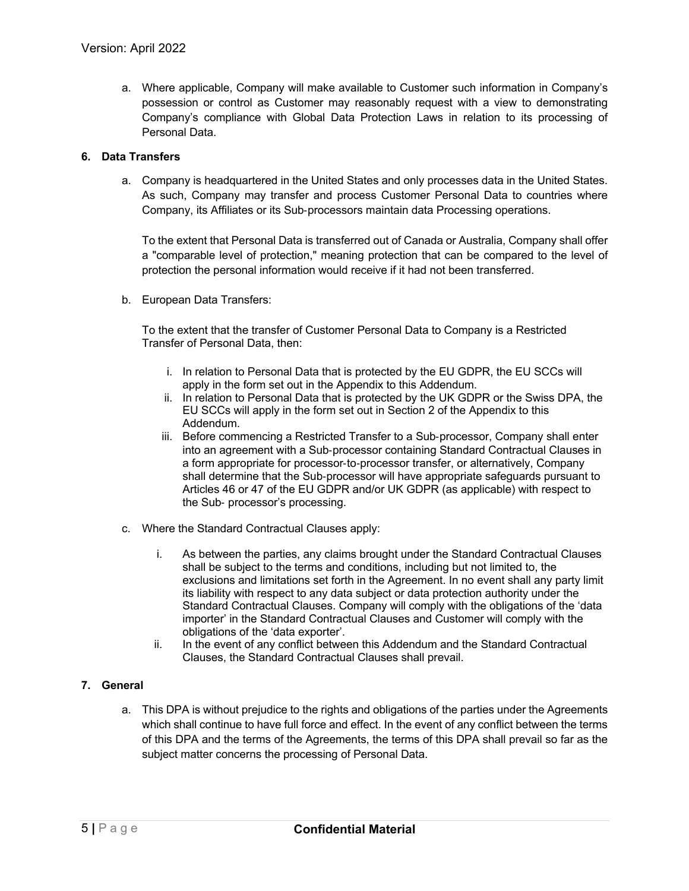a. Where applicable, Company will make available to Customer such information in Company's possession or control as Customer may reasonably request with a view to demonstrating Company's compliance with Global Data Protection Laws in relation to its processing of Personal Data.

# **6. Data Transfers**

a. Company is headquartered in the United States and only processes data in the United States. As such, Company may transfer and process Customer Personal Data to countries where Company, its Affiliates or its Sub-processors maintain data Processing operations.

To the extent that Personal Data is transferred out of Canada or Australia, Company shall offer a "comparable level of protection," meaning protection that can be compared to the level of protection the personal information would receive if it had not been transferred.

b. European Data Transfers:

To the extent that the transfer of Customer Personal Data to Company is a Restricted Transfer of Personal Data, then:

- i. In relation to Personal Data that is protected by the EU GDPR, the EU SCCs will apply in the form set out in the Appendix to this Addendum.
- ii. In relation to Personal Data that is protected by the UK GDPR or the Swiss DPA, the EU SCCs will apply in the form set out in Section 2 of the Appendix to this Addendum.
- iii. Before commencing a Restricted Transfer to a Sub-processor, Company shall enter into an agreement with a Sub-processor containing Standard Contractual Clauses in a form appropriate for processor-to-processor transfer, or alternatively, Company shall determine that the Sub-processor will have appropriate safeguards pursuant to Articles 46 or 47 of the EU GDPR and/or UK GDPR (as applicable) with respect to the Sub- processor's processing.
- c. Where the Standard Contractual Clauses apply:
	- i. As between the parties, any claims brought under the Standard Contractual Clauses shall be subject to the terms and conditions, including but not limited to, the exclusions and limitations set forth in the Agreement. In no event shall any party limit its liability with respect to any data subject or data protection authority under the Standard Contractual Clauses. Company will comply with the obligations of the 'data importer' in the Standard Contractual Clauses and Customer will comply with the obligations of the 'data exporter'.
	- ii. In the event of any conflict between this Addendum and the Standard Contractual Clauses, the Standard Contractual Clauses shall prevail.

# **7. General**

a. This DPA is without prejudice to the rights and obligations of the parties under the Agreements which shall continue to have full force and effect. In the event of any conflict between the terms of this DPA and the terms of the Agreements, the terms of this DPA shall prevail so far as the subject matter concerns the processing of Personal Data.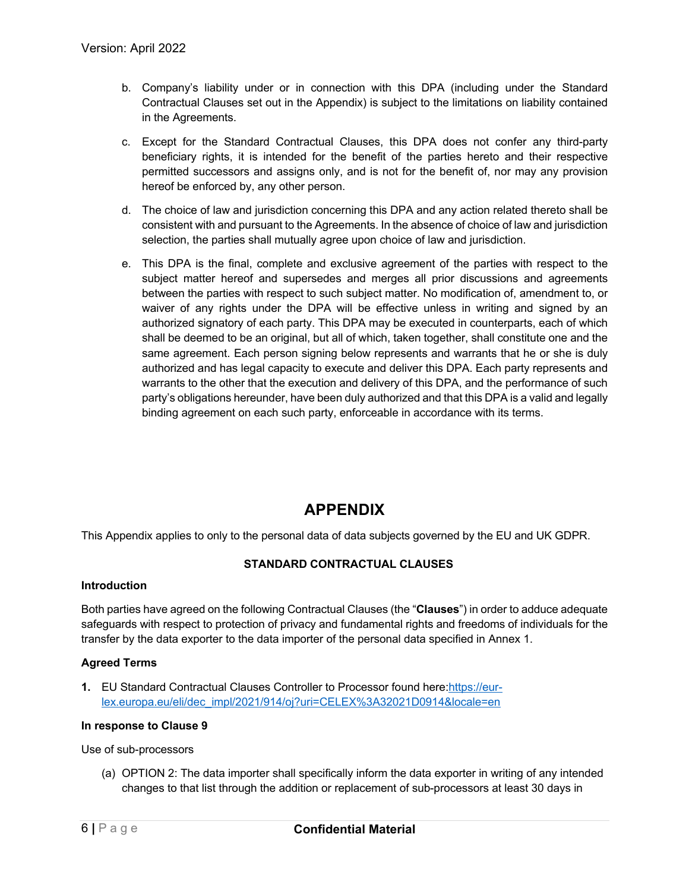- b. Company's liability under or in connection with this DPA (including under the Standard Contractual Clauses set out in the Appendix) is subject to the limitations on liability contained in the Agreements.
- c. Except for the Standard Contractual Clauses, this DPA does not confer any third-party beneficiary rights, it is intended for the benefit of the parties hereto and their respective permitted successors and assigns only, and is not for the benefit of, nor may any provision hereof be enforced by, any other person.
- d. The choice of law and jurisdiction concerning this DPA and any action related thereto shall be consistent with and pursuant to the Agreements. In the absence of choice of law and jurisdiction selection, the parties shall mutually agree upon choice of law and jurisdiction.
- e. This DPA is the final, complete and exclusive agreement of the parties with respect to the subject matter hereof and supersedes and merges all prior discussions and agreements between the parties with respect to such subject matter. No modification of, amendment to, or waiver of any rights under the DPA will be effective unless in writing and signed by an authorized signatory of each party. This DPA may be executed in counterparts, each of which shall be deemed to be an original, but all of which, taken together, shall constitute one and the same agreement. Each person signing below represents and warrants that he or she is duly authorized and has legal capacity to execute and deliver this DPA. Each party represents and warrants to the other that the execution and delivery of this DPA, and the performance of such party's obligations hereunder, have been duly authorized and that this DPA is a valid and legally binding agreement on each such party, enforceable in accordance with its terms.

# **APPENDIX**

This Appendix applies to only to the personal data of data subjects governed by the EU and UK GDPR.

# **STANDARD CONTRACTUAL CLAUSES**

#### **Introduction**

Both parties have agreed on the following Contractual Clauses (the "**Clauses**") in order to adduce adequate safeguards with respect to protection of privacy and fundamental rights and freedoms of individuals for the transfer by the data exporter to the data importer of the personal data specified in Annex 1.

# **Agreed Terms**

**1.** EU Standard Contractual Clauses Controller to Processor found here:https://eurlex.europa.eu/eli/dec\_impl/2021/914/oj?uri=CELEX%3A32021D0914&locale=en

#### **In response to Clause 9**

Use of sub-processors

(a) OPTION 2: The data importer shall specifically inform the data exporter in writing of any intended changes to that list through the addition or replacement of sub-processors at least 30 days in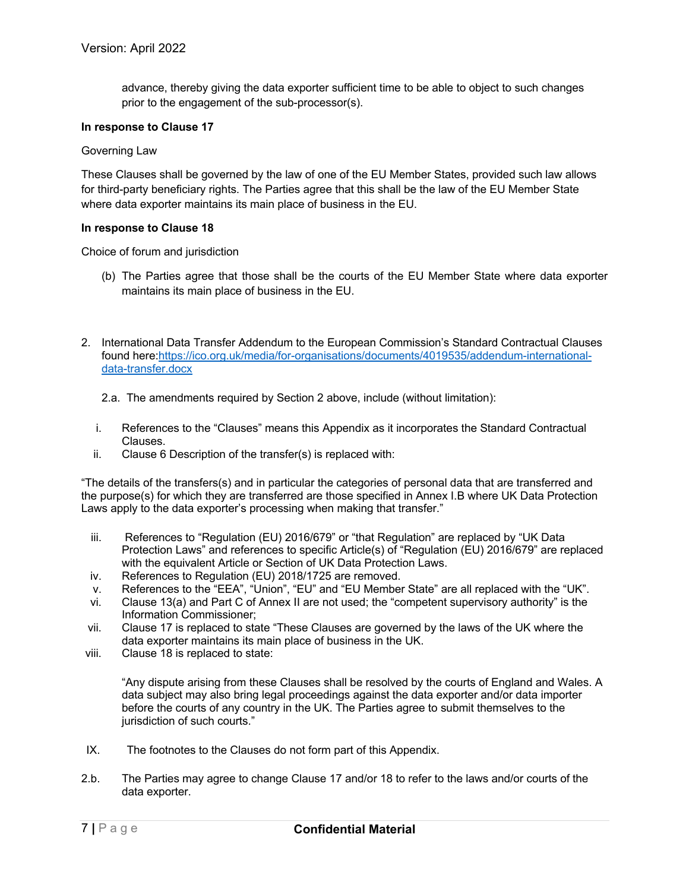advance, thereby giving the data exporter sufficient time to be able to object to such changes prior to the engagement of the sub-processor(s).

#### **In response to Clause 17**

#### Governing Law

These Clauses shall be governed by the law of one of the EU Member States, provided such law allows for third-party beneficiary rights. The Parties agree that this shall be the law of the EU Member State where data exporter maintains its main place of business in the EU.

#### **In response to Clause 18**

Choice of forum and jurisdiction

- (b) The Parties agree that those shall be the courts of the EU Member State where data exporter maintains its main place of business in the EU.
- 2. International Data Transfer Addendum to the European Commission's Standard Contractual Clauses found here:https://ico.org.uk/media/for-organisations/documents/4019535/addendum-internationaldata-transfer.docx
	- 2.a. The amendments required by Section 2 above, include (without limitation):
	- i. References to the "Clauses" means this Appendix as it incorporates the Standard Contractual Clauses.
	- ii. Clause 6 Description of the transfer(s) is replaced with:

"The details of the transfers(s) and in particular the categories of personal data that are transferred and the purpose(s) for which they are transferred are those specified in Annex I.B where UK Data Protection Laws apply to the data exporter's processing when making that transfer."

- iii. References to "Regulation (EU) 2016/679" or "that Regulation" are replaced by "UK Data Protection Laws" and references to specific Article(s) of "Regulation (EU) 2016/679" are replaced with the equivalent Article or Section of UK Data Protection Laws.
- iv. References to Regulation (EU) 2018/1725 are removed.
- v. References to the "EEA", "Union", "EU" and "EU Member State" are all replaced with the "UK".
- vi. Clause 13(a) and Part C of Annex II are not used; the "competent supervisory authority" is the Information Commissioner;
- vii. Clause 17 is replaced to state "These Clauses are governed by the laws of the UK where the data exporter maintains its main place of business in the UK.
- viii. Clause 18 is replaced to state:

"Any dispute arising from these Clauses shall be resolved by the courts of England and Wales. A data subject may also bring legal proceedings against the data exporter and/or data importer before the courts of any country in the UK. The Parties agree to submit themselves to the jurisdiction of such courts."

- IX. The footnotes to the Clauses do not form part of this Appendix.
- 2.b. The Parties may agree to change Clause 17 and/or 18 to refer to the laws and/or courts of the data exporter.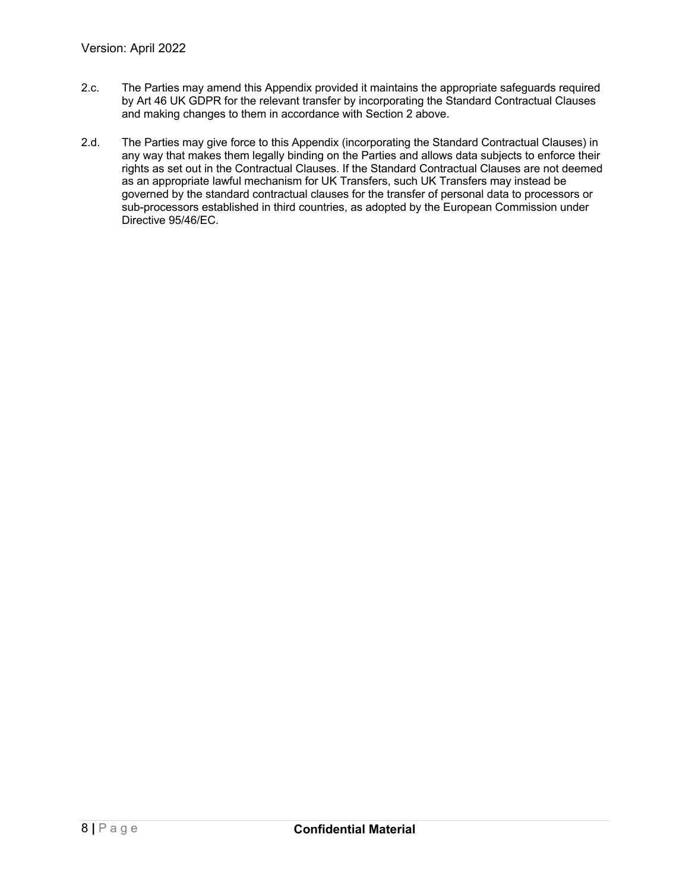- 2.c. The Parties may amend this Appendix provided it maintains the appropriate safeguards required by Art 46 UK GDPR for the relevant transfer by incorporating the Standard Contractual Clauses and making changes to them in accordance with Section 2 above.
- 2.d. The Parties may give force to this Appendix (incorporating the Standard Contractual Clauses) in any way that makes them legally binding on the Parties and allows data subjects to enforce their rights as set out in the Contractual Clauses. If the Standard Contractual Clauses are not deemed as an appropriate lawful mechanism for UK Transfers, such UK Transfers may instead be governed by the standard contractual clauses for the transfer of personal data to processors or sub-processors established in third countries, as adopted by the European Commission under Directive 95/46/EC.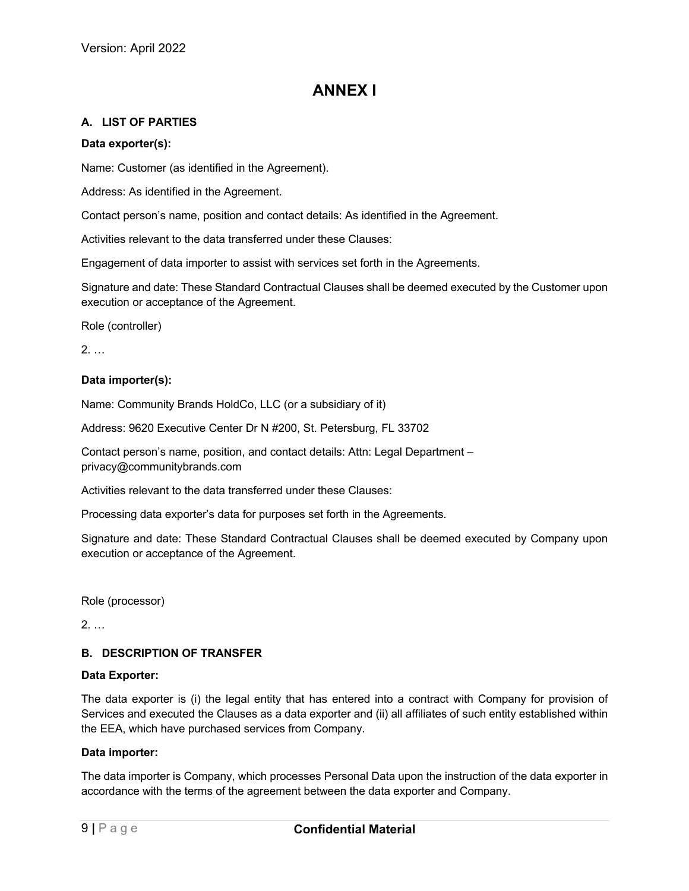# **ANNEX I**

# **A. LIST OF PARTIES**

### **Data exporter(s):**

Name: Customer (as identified in the Agreement).

Address: As identified in the Agreement.

Contact person's name, position and contact details: As identified in the Agreement.

Activities relevant to the data transferred under these Clauses:

Engagement of data importer to assist with services set forth in the Agreements.

Signature and date: These Standard Contractual Clauses shall be deemed executed by the Customer upon execution or acceptance of the Agreement.

Role (controller)

2. …

### **Data importer(s):**

Name: Community Brands HoldCo, LLC (or a subsidiary of it)

Address: 9620 Executive Center Dr N #200, St. Petersburg, FL 33702

Contact person's name, position, and contact details: Attn: Legal Department – privacy@communitybrands.com

Activities relevant to the data transferred under these Clauses:

Processing data exporter's data for purposes set forth in the Agreements.

Signature and date: These Standard Contractual Clauses shall be deemed executed by Company upon execution or acceptance of the Agreement.

Role (processor)

2. …

# **B. DESCRIPTION OF TRANSFER**

#### **Data Exporter:**

The data exporter is (i) the legal entity that has entered into a contract with Company for provision of Services and executed the Clauses as a data exporter and (ii) all affiliates of such entity established within the EEA, which have purchased services from Company.

#### **Data importer:**

The data importer is Company, which processes Personal Data upon the instruction of the data exporter in accordance with the terms of the agreement between the data exporter and Company.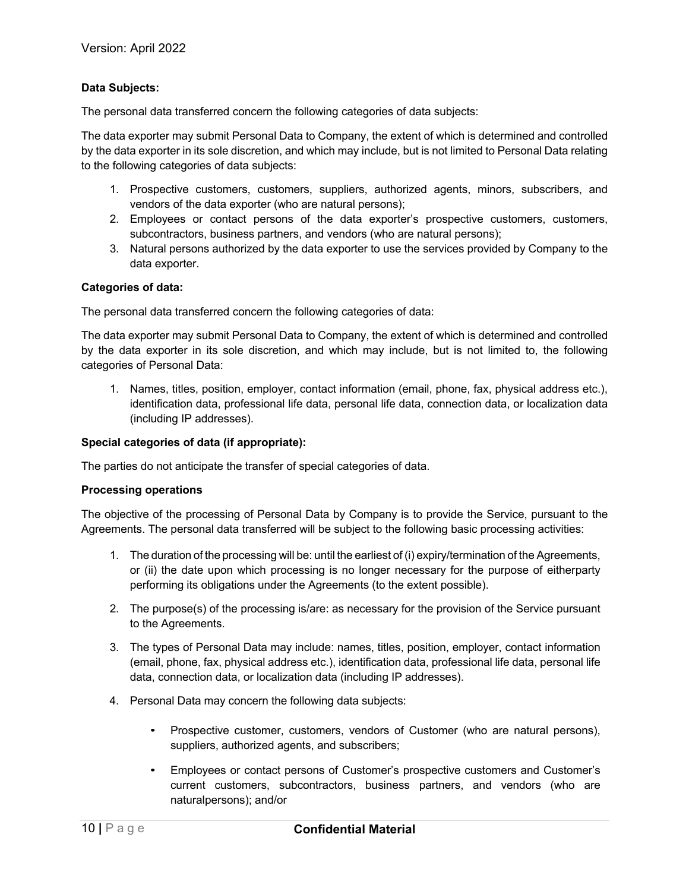### **Data Subjects:**

The personal data transferred concern the following categories of data subjects:

The data exporter may submit Personal Data to Company, the extent of which is determined and controlled by the data exporter in its sole discretion, and which may include, but is not limited to Personal Data relating to the following categories of data subjects:

- 1. Prospective customers, customers, suppliers, authorized agents, minors, subscribers, and vendors of the data exporter (who are natural persons);
- 2. Employees or contact persons of the data exporter's prospective customers, customers, subcontractors, business partners, and vendors (who are natural persons);
- 3. Natural persons authorized by the data exporter to use the services provided by Company to the data exporter.

#### **Categories of data:**

The personal data transferred concern the following categories of data:

The data exporter may submit Personal Data to Company, the extent of which is determined and controlled by the data exporter in its sole discretion, and which may include, but is not limited to, the following categories of Personal Data:

1. Names, titles, position, employer, contact information (email, phone, fax, physical address etc.), identification data, professional life data, personal life data, connection data, or localization data (including IP addresses).

#### **Special categories of data (if appropriate):**

The parties do not anticipate the transfer of special categories of data.

#### **Processing operations**

The objective of the processing of Personal Data by Company is to provide the Service, pursuant to the Agreements. The personal data transferred will be subject to the following basic processing activities:

- 1. The duration of the processing will be: until the earliest of (i) expiry/termination of the Agreements, or (ii) the date upon which processing is no longer necessary for the purpose of eitherparty performing its obligations under the Agreements (to the extent possible).
- 2. The purpose(s) of the processing is/are: as necessary for the provision of the Service pursuant to the Agreements.
- 3. The types of Personal Data may include: names, titles, position, employer, contact information (email, phone, fax, physical address etc.), identification data, professional life data, personal life data, connection data, or localization data (including IP addresses).
- 4. Personal Data may concern the following data subjects:
	- Prospective customer, customers, vendors of Customer (who are natural persons), suppliers, authorized agents, and subscribers;
	- Employees or contact persons of Customer's prospective customers and Customer's current customers, subcontractors, business partners, and vendors (who are naturalpersons); and/or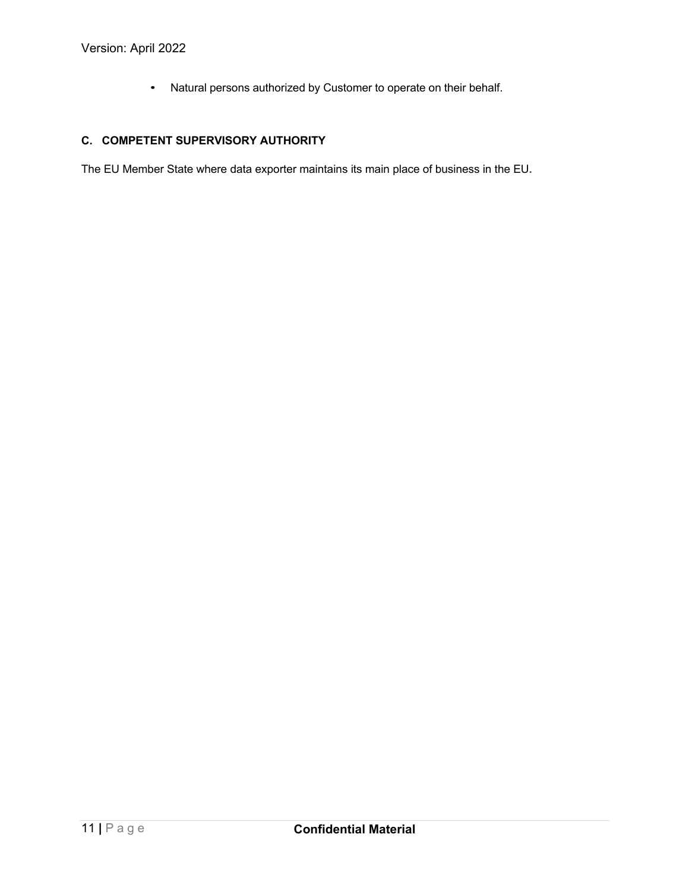• Natural persons authorized by Customer to operate on their behalf.

# **C. COMPETENT SUPERVISORY AUTHORITY**

The EU Member State where data exporter maintains its main place of business in the EU**.**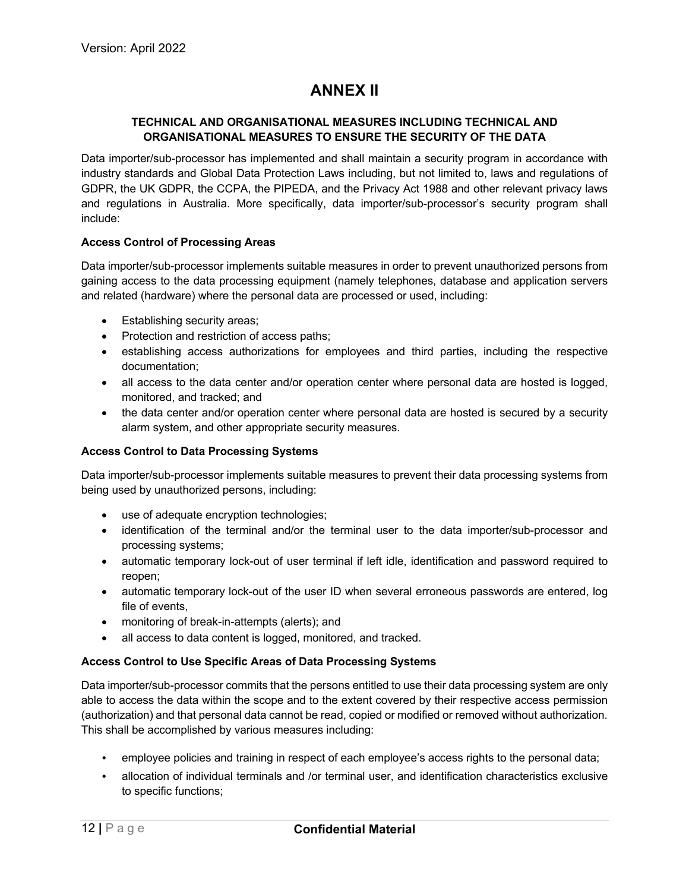# **ANNEX II**

### **TECHNICAL AND ORGANISATIONAL MEASURES INCLUDING TECHNICAL AND ORGANISATIONAL MEASURES TO ENSURE THE SECURITY OF THE DATA**

Data importer/sub-processor has implemented and shall maintain a security program in accordance with industry standards and Global Data Protection Laws including, but not limited to, laws and regulations of GDPR, the UK GDPR, the CCPA, the PIPEDA, and the Privacy Act 1988 and other relevant privacy laws and regulations in Australia. More specifically, data importer/sub-processor's security program shall include:

### **Access Control of Processing Areas**

Data importer/sub-processor implements suitable measures in order to prevent unauthorized persons from gaining access to the data processing equipment (namely telephones, database and application servers and related (hardware) where the personal data are processed or used, including:

- Establishing security areas;
- Protection and restriction of access paths;
- establishing access authorizations for employees and third parties, including the respective documentation;
- all access to the data center and/or operation center where personal data are hosted is logged, monitored, and tracked; and
- the data center and/or operation center where personal data are hosted is secured by a security alarm system, and other appropriate security measures.

### **Access Control to Data Processing Systems**

Data importer/sub-processor implements suitable measures to prevent their data processing systems from being used by unauthorized persons, including:

- use of adequate encryption technologies;
- identification of the terminal and/or the terminal user to the data importer/sub-processor and processing systems;
- automatic temporary lock-out of user terminal if left idle, identification and password required to reopen;
- automatic temporary lock-out of the user ID when several erroneous passwords are entered, log file of events,
- monitoring of break-in-attempts (alerts); and
- all access to data content is logged, monitored, and tracked.

#### **Access Control to Use Specific Areas of Data Processing Systems**

Data importer/sub-processor commits that the persons entitled to use their data processing system are only able to access the data within the scope and to the extent covered by their respective access permission (authorization) and that personal data cannot be read, copied or modified or removed without authorization. This shall be accomplished by various measures including:

- employee policies and training in respect of each employee's access rights to the personal data;
- allocation of individual terminals and /or terminal user, and identification characteristics exclusive to specific functions;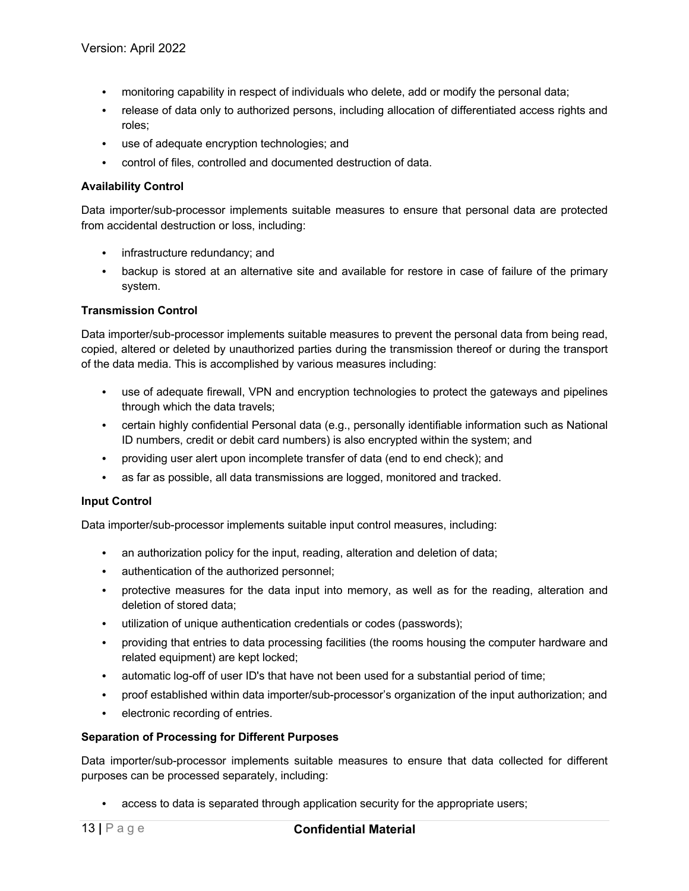- monitoring capability in respect of individuals who delete, add or modify the personal data;
- release of data only to authorized persons, including allocation of differentiated access rights and roles;
- use of adequate encryption technologies; and
- control of files, controlled and documented destruction of data.

#### **Availability Control**

Data importer/sub-processor implements suitable measures to ensure that personal data are protected from accidental destruction or loss, including:

- infrastructure redundancy; and
- backup is stored at an alternative site and available for restore in case of failure of the primary system.

### **Transmission Control**

Data importer/sub-processor implements suitable measures to prevent the personal data from being read, copied, altered or deleted by unauthorized parties during the transmission thereof or during the transport of the data media. This is accomplished by various measures including:

- use of adequate firewall, VPN and encryption technologies to protect the gateways and pipelines through which the data travels;
- certain highly confidential Personal data (e.g., personally identifiable information such as National ID numbers, credit or debit card numbers) is also encrypted within the system; and
- providing user alert upon incomplete transfer of data (end to end check); and
- as far as possible, all data transmissions are logged, monitored and tracked.

#### **Input Control**

Data importer/sub-processor implements suitable input control measures, including:

- an authorization policy for the input, reading, alteration and deletion of data;
- authentication of the authorized personnel;
- protective measures for the data input into memory, as well as for the reading, alteration and deletion of stored data;
- utilization of unique authentication credentials or codes (passwords);
- providing that entries to data processing facilities (the rooms housing the computer hardware and related equipment) are kept locked;
- automatic log-off of user ID's that have not been used for a substantial period of time;
- proof established within data importer/sub-processor's organization of the input authorization; and
- electronic recording of entries.

#### **Separation of Processing for Different Purposes**

Data importer/sub-processor implements suitable measures to ensure that data collected for different purposes can be processed separately, including:

access to data is separated through application security for the appropriate users;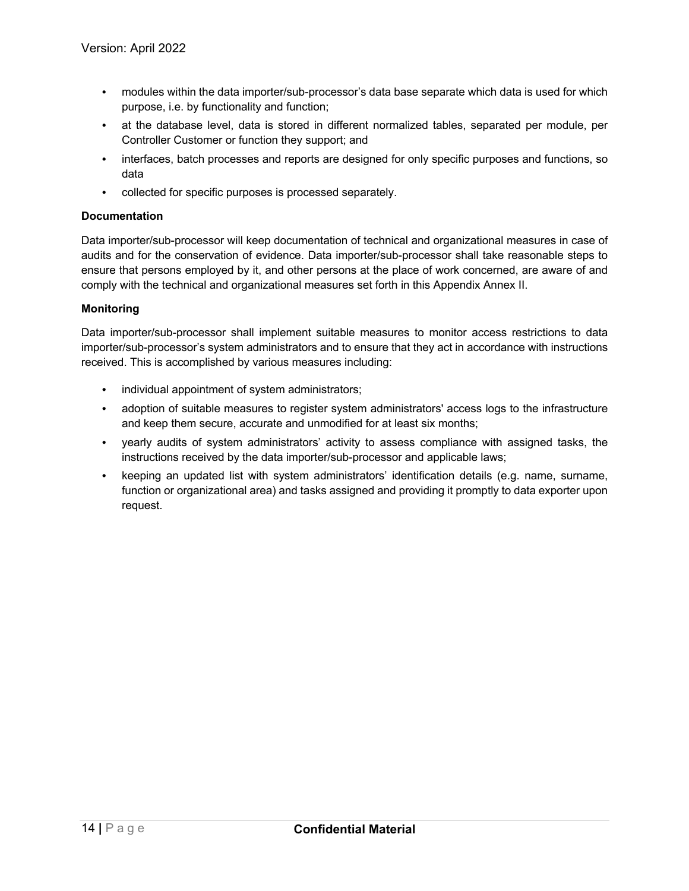- modules within the data importer/sub-processor's data base separate which data is used for which purpose, i.e. by functionality and function;
- at the database level, data is stored in different normalized tables, separated per module, per Controller Customer or function they support; and
- interfaces, batch processes and reports are designed for only specific purposes and functions, so data
- collected for specific purposes is processed separately.

#### **Documentation**

Data importer/sub-processor will keep documentation of technical and organizational measures in case of audits and for the conservation of evidence. Data importer/sub-processor shall take reasonable steps to ensure that persons employed by it, and other persons at the place of work concerned, are aware of and comply with the technical and organizational measures set forth in this Appendix Annex II.

### **Monitoring**

Data importer/sub-processor shall implement suitable measures to monitor access restrictions to data importer/sub-processor's system administrators and to ensure that they act in accordance with instructions received. This is accomplished by various measures including:

- individual appointment of system administrators;
- adoption of suitable measures to register system administrators' access logs to the infrastructure and keep them secure, accurate and unmodified for at least six months;
- yearly audits of system administrators' activity to assess compliance with assigned tasks, the instructions received by the data importer/sub-processor and applicable laws;
- keeping an updated list with system administrators' identification details (e.g. name, surname, function or organizational area) and tasks assigned and providing it promptly to data exporter upon request.